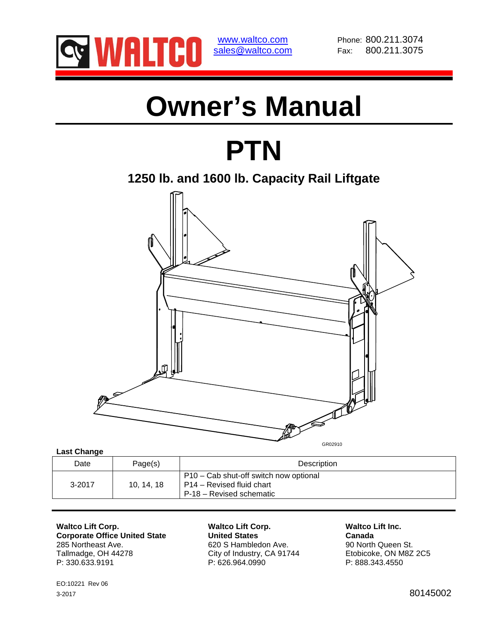

www.waltco.com Phone: 800.211.3074 sales@waltco.com Fax: 800.211.3075

# **Owner's Manual**

# **PTN**

**1250 lb. and 1600 lb. Capacity Rail Liftgate** 



**Last Change** 

| Date       | Page(s)  | Description                                                                                     |  |
|------------|----------|-------------------------------------------------------------------------------------------------|--|
| $3 - 2017$ | 10.14.18 | P10 – Cab shut-off switch now optional<br>P14 – Revised fluid chart<br>P-18 - Revised schematic |  |

Waltco Lift Corp.<br>
Corporate Office United State<br>
United States
United States
United States

Canada

Waltco Lift Inc. **Corporate Office United State** 285 Northeast Ave. 620 S Hambledon Ave. 90 North Queen St. Tallmadge, OH 44278 City of Industry, CA 91744 Etobicoke, ON M8Z 2C5<br>
P: 330.633.9191 P: 626.964.0990 P: 626.964.0990

P: 626.964.0990

EO:10221 Rev 06 3-2017 80145002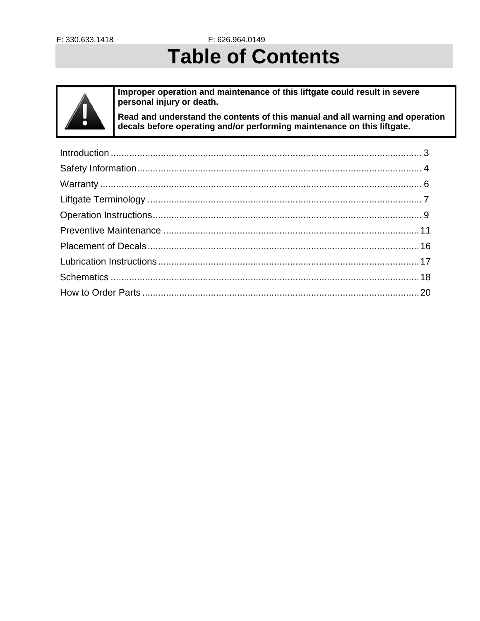F: 626.964.0149

# **Table of Contents**

Improper operation and maintenance of this liftgate could result in severe personal injury or death.

Read and understand the contents of this manual and all warning and operation decals before operating and/or performing maintenance on this liftgate.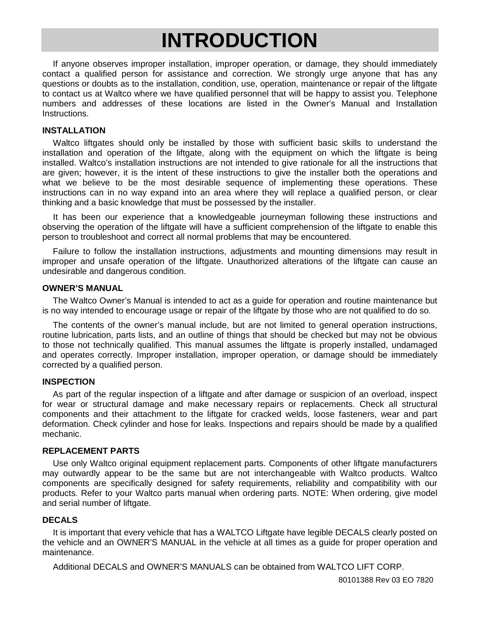# **INTRODUCTION**

If anyone observes improper installation, improper operation, or damage, they should immediately contact a qualified person for assistance and correction. We strongly urge anyone that has any questions or doubts as to the installation, condition, use, operation, maintenance or repair of the liftgate to contact us at Waltco where we have qualified personnel that will be happy to assist you. Telephone numbers and addresses of these locations are listed in the Owner's Manual and Installation Instructions.

#### **INSTALLATION**

Waltco liftgates should only be installed by those with sufficient basic skills to understand the installation and operation of the liftgate, along with the equipment on which the liftgate is being installed. Waltco's installation instructions are not intended to give rationale for all the instructions that are given; however, it is the intent of these instructions to give the installer both the operations and what we believe to be the most desirable sequence of implementing these operations. These instructions can in no way expand into an area where they will replace a qualified person, or clear thinking and a basic knowledge that must be possessed by the installer.

It has been our experience that a knowledgeable journeyman following these instructions and observing the operation of the liftgate will have a sufficient comprehension of the liftgate to enable this person to troubleshoot and correct all normal problems that may be encountered.

Failure to follow the installation instructions, adjustments and mounting dimensions may result in improper and unsafe operation of the liftgate. Unauthorized alterations of the liftgate can cause an undesirable and dangerous condition.

#### **OWNER'S MANUAL**

The Waltco Owner's Manual is intended to act as a guide for operation and routine maintenance but is no way intended to encourage usage or repair of the liftgate by those who are not qualified to do so.

The contents of the owner's manual include, but are not limited to general operation instructions, routine lubrication, parts lists, and an outline of things that should be checked but may not be obvious to those not technically qualified. This manual assumes the liftgate is properly installed, undamaged and operates correctly. Improper installation, improper operation, or damage should be immediately corrected by a qualified person.

#### **INSPECTION**

As part of the regular inspection of a liftgate and after damage or suspicion of an overload, inspect for wear or structural damage and make necessary repairs or replacements. Check all structural components and their attachment to the liftgate for cracked welds, loose fasteners, wear and part deformation. Check cylinder and hose for leaks. Inspections and repairs should be made by a qualified mechanic.

#### **REPLACEMENT PARTS**

Use only Waltco original equipment replacement parts. Components of other liftgate manufacturers may outwardly appear to be the same but are not interchangeable with Waltco products. Waltco components are specifically designed for safety requirements, reliability and compatibility with our products. Refer to your Waltco parts manual when ordering parts. NOTE: When ordering, give model and serial number of liftgate.

#### **DECALS**

It is important that every vehicle that has a WALTCO Liftgate have legible DECALS clearly posted on the vehicle and an OWNER'S MANUAL in the vehicle at all times as a guide for proper operation and maintenance.

Additional DECALS and OWNER'S MANUALS can be obtained from WALTCO LIFT CORP.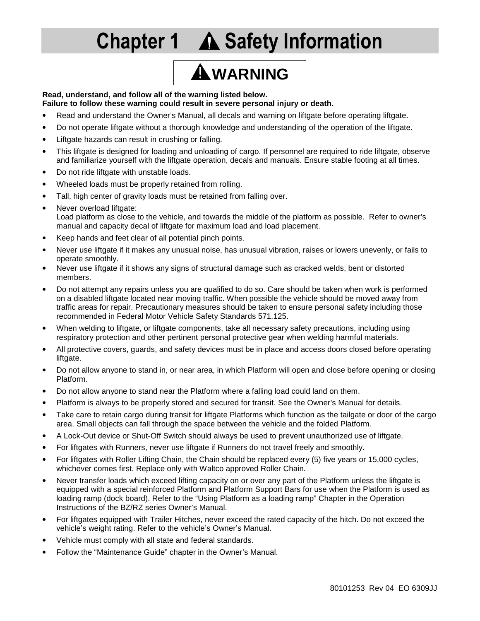# **Chapter 1 A Safety Information**

# **WARNING**

#### **Read, understand, and follow all of the warning listed below.**

#### **Failure to follow these warning could result in severe personal injury or death.**

- Read and understand the Owner's Manual, all decals and warning on liftgate before operating liftgate.
- Do not operate liftgate without a thorough knowledge and understanding of the operation of the liftgate.
- Liftgate hazards can result in crushing or falling.
- This liftgate is designed for loading and unloading of cargo. If personnel are required to ride liftgate, observe and familiarize yourself with the liftgate operation, decals and manuals. Ensure stable footing at all times.
- Do not ride liftgate with unstable loads.
- Wheeled loads must be properly retained from rolling.
- Tall, high center of gravity loads must be retained from falling over.
- Never overload liftgate: Load platform as close to the vehicle, and towards the middle of the platform as possible. Refer to owner's manual and capacity decal of liftgate for maximum load and load placement.
- Keep hands and feet clear of all potential pinch points.
- Never use liftgate if it makes any unusual noise, has unusual vibration, raises or lowers unevenly, or fails to operate smoothly.
- Never use liftgate if it shows any signs of structural damage such as cracked welds, bent or distorted members.
- Do not attempt any repairs unless you are qualified to do so. Care should be taken when work is performed on a disabled liftgate located near moving traffic. When possible the vehicle should be moved away from traffic areas for repair. Precautionary measures should be taken to ensure personal safety including those recommended in Federal Motor Vehicle Safety Standards 571.125.
- When welding to liftgate, or liftgate components, take all necessary safety precautions, including using respiratory protection and other pertinent personal protective gear when welding harmful materials.
- All protective covers, guards, and safety devices must be in place and access doors closed before operating liftgate.
- Do not allow anyone to stand in, or near area, in which Platform will open and close before opening or closing Platform.
- Do not allow anyone to stand near the Platform where a falling load could land on them.
- Platform is always to be properly stored and secured for transit. See the Owner's Manual for details.
- Take care to retain cargo during transit for liftgate Platforms which function as the tailgate or door of the cargo area. Small objects can fall through the space between the vehicle and the folded Platform.
- A Lock-Out device or Shut-Off Switch should always be used to prevent unauthorized use of liftgate.
- For liftgates with Runners, never use liftgate if Runners do not travel freely and smoothly.
- For liftgates with Roller Lifting Chain, the Chain should be replaced every (5) five years or 15,000 cycles, whichever comes first. Replace only with Waltco approved Roller Chain.
- Never transfer loads which exceed lifting capacity on or over any part of the Platform unless the liftgate is equipped with a special reinforced Platform and Platform Support Bars for use when the Platform is used as loading ramp (dock board). Refer to the "Using Platform as a loading ramp" Chapter in the Operation Instructions of the BZ/RZ series Owner's Manual.
- For liftgates equipped with Trailer Hitches, never exceed the rated capacity of the hitch. Do not exceed the vehicle's weight rating. Refer to the vehicle's Owner's Manual.
- Vehicle must comply with all state and federal standards.
- Follow the "Maintenance Guide" chapter in the Owner's Manual.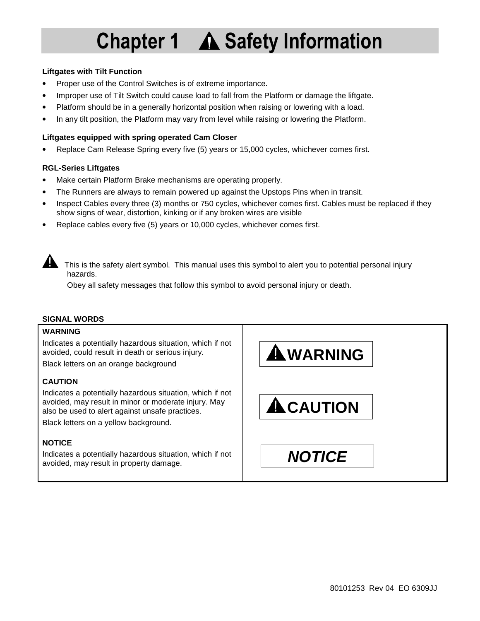# **Chapter 1 A Safety Information**

#### **Liftgates with Tilt Function**

- Proper use of the Control Switches is of extreme importance.
- Improper use of Tilt Switch could cause load to fall from the Platform or damage the liftgate.
- Platform should be in a generally horizontal position when raising or lowering with a load.
- In any tilt position, the Platform may vary from level while raising or lowering the Platform.

#### **Liftgates equipped with spring operated Cam Closer**

• Replace Cam Release Spring every five (5) years or 15,000 cycles, whichever comes first.

#### **RGL-Series Liftgates**

- Make certain Platform Brake mechanisms are operating properly.
- The Runners are always to remain powered up against the Upstops Pins when in transit.
- Inspect Cables every three (3) months or 750 cycles, whichever comes first. Cables must be replaced if they show signs of wear, distortion, kinking or if any broken wires are visible
- Replace cables every five (5) years or 10,000 cycles, whichever comes first.



This is the safety alert symbol. This manual uses this symbol to alert you to potential personal injury hazards.

Obey all safety messages that follow this symbol to avoid personal injury or death.

### **SIGNAL WORDS**

#### **WARNING**

Indicates a potentially hazardous situation, which if not avoided, could result in death or serious injury.

Black letters on an orange background

### **CAUTION**

Indicates a potentially hazardous situation, which if not avoided, may result in minor or moderate injury. May also be used to alert against unsafe practices.

Black letters on a yellow background.

### **NOTICE**

Indicates a potentially hazardous situation, which if not avoided, may result in property damage. **NOTICE** 

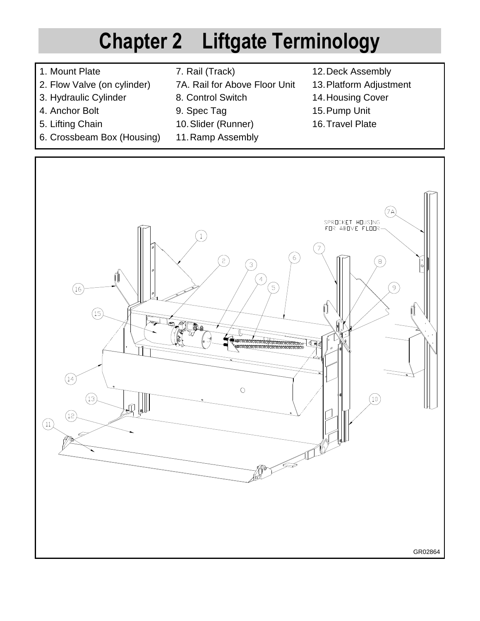# **Chapter 2 Liftgate Terminology**

- 1. Mount Plate
- 2. Flow Valve (on cylinder)
- 3. Hydraulic Cylinder
- 4. Anchor Bolt
- 5. Lifting Chain
- 6. Crossbeam Box (Housing)
- 7. Rail (Track)
- 7A. Rail for Above Floor Unit
- 8. Control Switch
- 9. Spec Tag
- 10. Slider (Runner)
- 11. Ramp Assembly
- 12. Deck Assembly
- 13. Platform Adjustment
- 14. Housing Cover
- 15. Pump Unit
- 16. Travel Plate

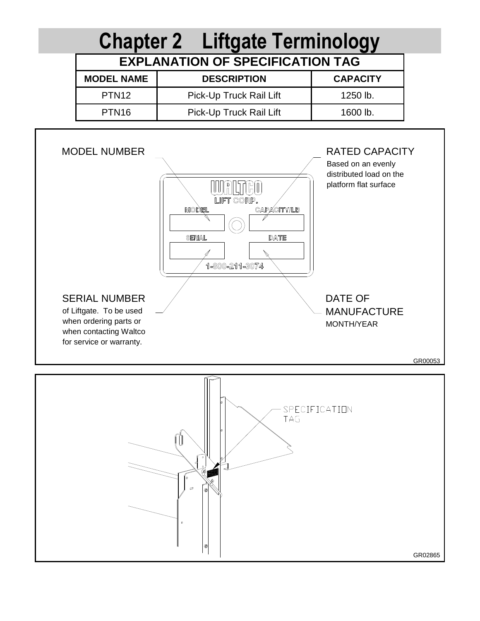

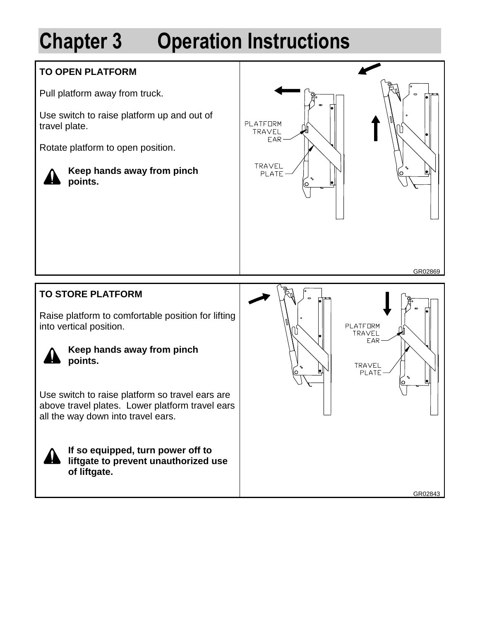# **Chapter 3 Operation Instructions**

## **TO OPEN PLATFORM**

Pull platform away from truck.

Use switch to raise platform up and out of travel plate.

Rotate platform to open position.



**Keep hands away from pinch points.** 



**TO STORE PLATFORM** 

Raise platform to comfortable position for lifting into vertical position.



**Keep hands away from pinch points.** 

Use switch to raise platform so travel ears are above travel plates. Lower platform travel ears all the way down into travel ears.



**If so equipped, turn power off to liftgate to prevent unauthorized use of liftgate.** 

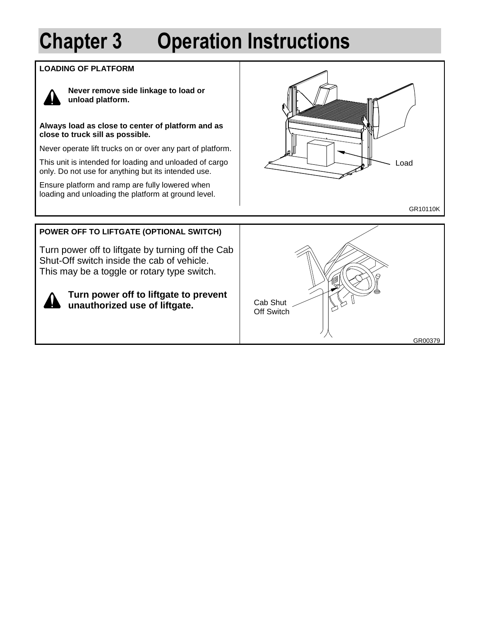# **Chapter 3 Operation Instructions**

### **LOADING OF PLATFORM**



**Never remove side linkage to load or unload platform.** 

**Always load as close to center of platform and as close to truck sill as possible.** 

Never operate lift trucks on or over any part of platform.

This unit is intended for loading and unloaded of cargo only. Do not use for anything but its intended use.

Ensure platform and ramp are fully lowered when loading and unloading the platform at ground level.



## **POWER OFF TO LIFTGATE (OPTIONAL SWITCH)**

Turn power off to liftgate by turning off the Cab Shut-Off switch inside the cab of vehicle. This may be a toggle or rotary type switch.



**Turn power off to liftgate to prevent unauthorized use of liftgate.** 

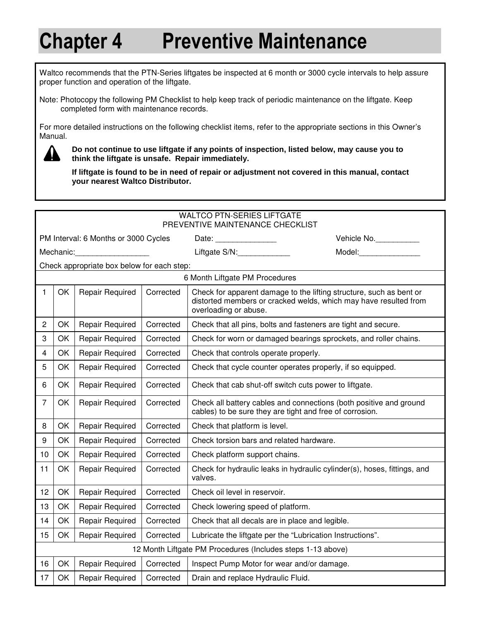Waltco recommends that the PTN-Series liftgates be inspected at 6 month or 3000 cycle intervals to help assure proper function and operation of the liftgate.

Note: Photocopy the following PM Checklist to help keep track of periodic maintenance on the liftgate. Keep completed form with maintenance records.

For more detailed instructions on the following checklist items, refer to the appropriate sections in this Owner's Manual.



**Do not continue to use liftgate if any points of inspection, listed below, may cause you to think the liftgate is unsafe. Repair immediately.** 

**If liftgate is found to be in need of repair or adjustment not covered in this manual, contact your nearest Waltco Distributor.** 

|                                      | <b>WALTCO PTN-SERIES LIFTGATE</b>                                        |                        |           |                                                                                                                                                                  |  |  |  |
|--------------------------------------|--------------------------------------------------------------------------|------------------------|-----------|------------------------------------------------------------------------------------------------------------------------------------------------------------------|--|--|--|
|                                      |                                                                          |                        |           | PREVENTIVE MAINTENANCE CHECKLIST                                                                                                                                 |  |  |  |
| PM Interval: 6 Months or 3000 Cycles |                                                                          |                        |           | Vehicle No.<br>Date: __________________                                                                                                                          |  |  |  |
|                                      | Mechanic:                                                                |                        |           | Liftgate S/N:______________<br>Model:__________________                                                                                                          |  |  |  |
|                                      | Check appropriate box below for each step:                               |                        |           |                                                                                                                                                                  |  |  |  |
|                                      | 6 Month Liftgate PM Procedures                                           |                        |           |                                                                                                                                                                  |  |  |  |
| 1                                    | OK                                                                       | <b>Repair Required</b> | Corrected | Check for apparent damage to the lifting structure, such as bent or<br>distorted members or cracked welds, which may have resulted from<br>overloading or abuse. |  |  |  |
| $\overline{c}$                       | OK                                                                       | <b>Repair Required</b> | Corrected | Check that all pins, bolts and fasteners are tight and secure.                                                                                                   |  |  |  |
| 3                                    | OK                                                                       | <b>Repair Required</b> | Corrected | Check for worn or damaged bearings sprockets, and roller chains.                                                                                                 |  |  |  |
| 4                                    | OK                                                                       | Repair Required        | Corrected | Check that controls operate properly.                                                                                                                            |  |  |  |
| 5                                    | OK                                                                       | Repair Required        | Corrected | Check that cycle counter operates properly, if so equipped.                                                                                                      |  |  |  |
| 6                                    | OK                                                                       | <b>Repair Required</b> | Corrected | Check that cab shut-off switch cuts power to liftgate.                                                                                                           |  |  |  |
| $\overline{7}$                       | OK                                                                       | <b>Repair Required</b> | Corrected | Check all battery cables and connections (both positive and ground<br>cables) to be sure they are tight and free of corrosion.                                   |  |  |  |
| 8                                    | OK                                                                       | <b>Repair Required</b> | Corrected | Check that platform is level.                                                                                                                                    |  |  |  |
| 9                                    | OK                                                                       | Repair Required        | Corrected | Check torsion bars and related hardware.                                                                                                                         |  |  |  |
| 10                                   | OK                                                                       | <b>Repair Required</b> | Corrected | Check platform support chains.                                                                                                                                   |  |  |  |
| 11                                   | OK                                                                       | <b>Repair Required</b> | Corrected | Check for hydraulic leaks in hydraulic cylinder(s), hoses, fittings, and<br>valves.                                                                              |  |  |  |
| 12                                   | OK                                                                       | <b>Repair Required</b> | Corrected | Check oil level in reservoir.                                                                                                                                    |  |  |  |
| 13                                   | OK                                                                       | <b>Repair Required</b> | Corrected | Check lowering speed of platform.                                                                                                                                |  |  |  |
| 14                                   | <b>OK</b>                                                                | Repair Required        | Corrected | Check that all decals are in place and legible.                                                                                                                  |  |  |  |
| 15                                   | OK                                                                       | Repair Required        | Corrected | Lubricate the liftgate per the "Lubrication Instructions".                                                                                                       |  |  |  |
|                                      | 12 Month Liftgate PM Procedures (Includes steps 1-13 above)              |                        |           |                                                                                                                                                                  |  |  |  |
| 16                                   | OK                                                                       | <b>Repair Required</b> | Corrected | Inspect Pump Motor for wear and/or damage.                                                                                                                       |  |  |  |
| 17                                   | OK<br>Repair Required<br>Drain and replace Hydraulic Fluid.<br>Corrected |                        |           |                                                                                                                                                                  |  |  |  |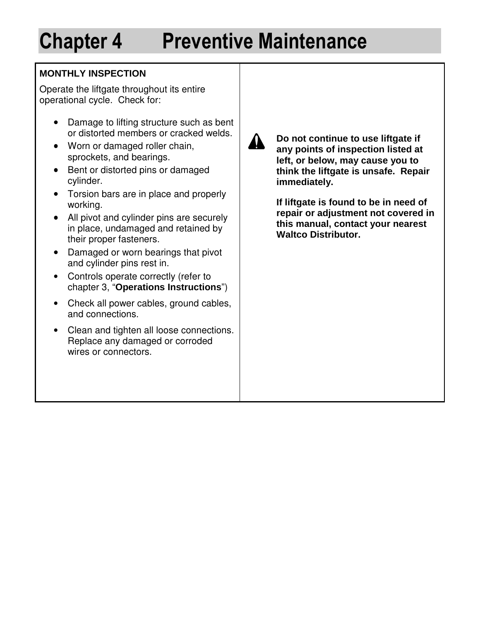## **MONTHLY INSPECTION**

Operate the liftgate throughout its entire operational cycle. Check for:

- Damage to lifting structure such as bent or distorted members or cracked welds.
- Worn or damaged roller chain, sprockets, and bearings.
- Bent or distorted pins or damaged cylinder.
- Torsion bars are in place and properly working.
- All pivot and cylinder pins are securely in place, undamaged and retained by their proper fasteners.
- Damaged or worn bearings that pivot and cylinder pins rest in.
- Controls operate correctly (refer to chapter 3, "**Operations Instructions**")
- Check all power cables, ground cables, and connections.
- Clean and tighten all loose connections. Replace any damaged or corroded wires or connectors.



**Do not continue to use liftgate if any points of inspection listed at left, or below, may cause you to think the liftgate is unsafe. Repair immediately.** 

**If liftgate is found to be in need of repair or adjustment not covered in this manual, contact your nearest Waltco Distributor.**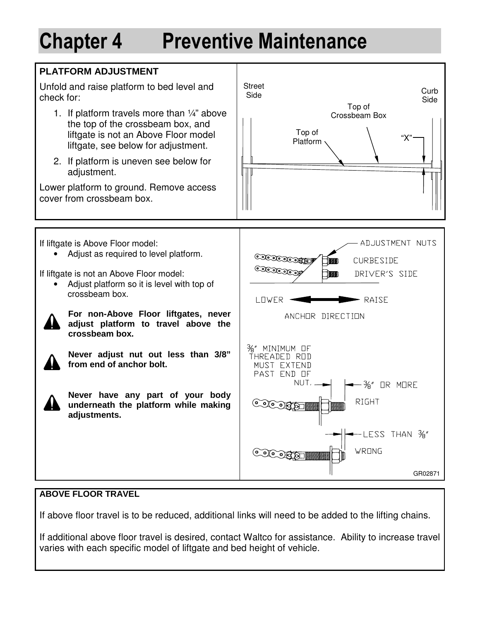

### **ABOVE FLOOR TRAVEL**

If above floor travel is to be reduced, additional links will need to be added to the lifting chains.

If additional above floor travel is desired, contact Waltco for assistance. Ability to increase travel varies with each specific model of liftgate and bed height of vehicle.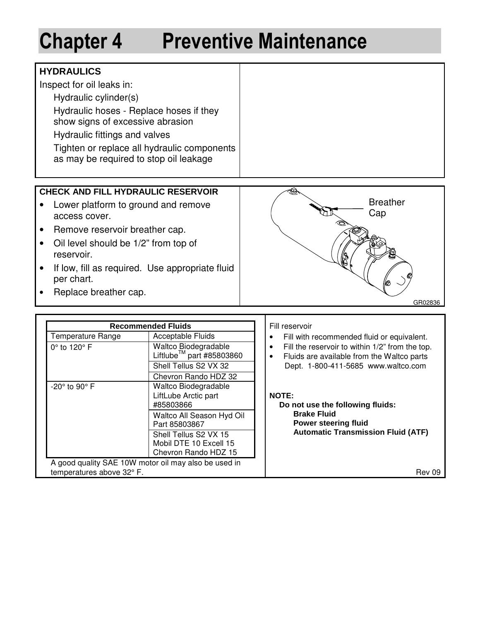## **HYDRAULICS**

Inspect for oil leaks in:

Hydraulic cylinder(s)

Hydraulic hoses - Replace hoses if they show signs of excessive abrasion

Hydraulic fittings and valves

Tighten or replace all hydraulic components as may be required to stop oil leakage

## **CHECK AND FILL HYDRAULIC RESERVOIR**

- Lower platform to ground and remove access cover.
- Remove reservoir breather cap.
- Oil level should be 1/2" from top of reservoir.
- If low, fill as required. Use appropriate fluid per chart.
- Replace breather cap.



|                                               | <b>Recommended Fluids</b>                                    | Fill reservoir                                                                                          |  |
|-----------------------------------------------|--------------------------------------------------------------|---------------------------------------------------------------------------------------------------------|--|
| Acceptable Fluids<br><b>Temperature Range</b> |                                                              | Fill with recommended fluid or equivalent.                                                              |  |
| $0^\circ$ to 120 $^\circ$ F                   | Waltco Biodegradable<br>Liftlube <sup>™</sup> part #85803860 | Fill the reservoir to within 1/2" from the top.<br>٠<br>Fluids are available from the Waltco parts<br>٠ |  |
|                                               | Shell Tellus S2 VX 32                                        | Dept. 1-800-411-5685 www.waltco.com                                                                     |  |
|                                               | Chevron Rando HDZ 32                                         |                                                                                                         |  |
| -20° to 90° F                                 | Waltco Biodegradable                                         |                                                                                                         |  |
|                                               | LiftLube Arctic part<br>#85803866                            | <b>NOTE:</b><br>Do not use the following fluids:                                                        |  |
|                                               | Waltco All Season Hyd Oil<br>Part 85803867                   | <b>Brake Fluid</b><br><b>Power steering fluid</b>                                                       |  |
|                                               | Shell Tellus S2 VX 15                                        | <b>Automatic Transmission Fluid (ATF)</b>                                                               |  |
|                                               | Mobil DTE 10 Excell 15                                       |                                                                                                         |  |
|                                               | Chevron Rando HDZ 15                                         |                                                                                                         |  |
|                                               | A good quality SAE 10W motor oil may also be used in         |                                                                                                         |  |
| temperatures above 32° F.                     |                                                              | Rev 09                                                                                                  |  |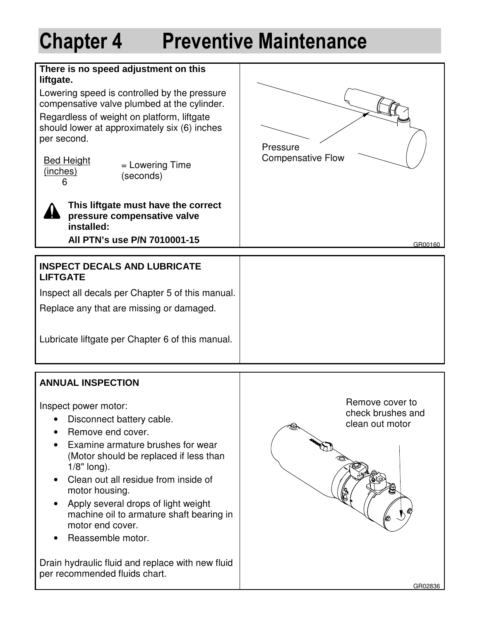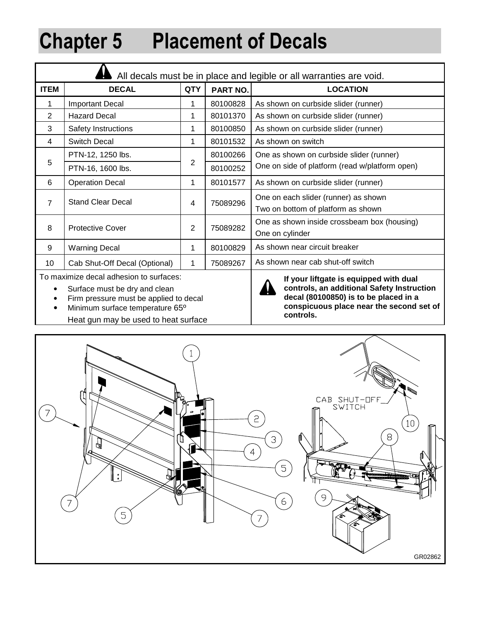# **Chapter 5 Placement of Decals**

| All decals must be in place and legible or all warranties are void. |                                                                                   |                |                                                                            |                                                |  |
|---------------------------------------------------------------------|-----------------------------------------------------------------------------------|----------------|----------------------------------------------------------------------------|------------------------------------------------|--|
| <b>ITEM</b><br><b>DECAL</b>                                         |                                                                                   | <b>QTY</b>     | PART NO.                                                                   | <b>LOCATION</b>                                |  |
| 1                                                                   | <b>Important Decal</b>                                                            | 1              | 80100828                                                                   | As shown on curbside slider (runner)           |  |
| 2                                                                   | <b>Hazard Decal</b>                                                               | 1              | 80101370                                                                   | As shown on curbside slider (runner)           |  |
| 3                                                                   | <b>Safety Instructions</b>                                                        | 1              | 80100850                                                                   | As shown on curbside slider (runner)           |  |
| 4                                                                   | Switch Decal                                                                      | 1              | 80101532                                                                   | As shown on switch                             |  |
| 5                                                                   | PTN-12, 1250 lbs.                                                                 |                | 80100266                                                                   | One as shown on curbside slider (runner)       |  |
|                                                                     | PTN-16, 1600 lbs.                                                                 | $\overline{c}$ | 80100252                                                                   | One on side of platform (read w/platform open) |  |
| 6                                                                   | <b>Operation Decal</b>                                                            | 1              | 80101577                                                                   | As shown on curbside slider (runner)           |  |
| $\overline{7}$                                                      | <b>Stand Clear Decal</b><br>75089296<br>4                                         |                | One on each slider (runner) as shown<br>Two on bottom of platform as shown |                                                |  |
| 8<br><b>Protective Cover</b>                                        |                                                                                   | 2              | One as shown inside crossbeam box (housing)<br>75089282<br>One on cylinder |                                                |  |
| 9                                                                   | <b>Warning Decal</b>                                                              | 1              | 80100829                                                                   | As shown near circuit breaker                  |  |
| 10                                                                  | Cab Shut-Off Decal (Optional)                                                     | 1              | 75089267                                                                   | As shown near cab shut-off switch              |  |
|                                                                     | To maximize decal adhesion to surfaces:<br>If your liftgate is equipped with dual |                |                                                                            |                                                |  |

- Surface must be dry and clean
- Firm pressure must be applied to decal
- Minimum surface temperature 65º
- Heat gun may be used to heat surface



**If your liftgate is equipped with dual controls, an additional Safety Instruction decal (80100850) is to be placed in a conspicuous place near the second set of controls.** 

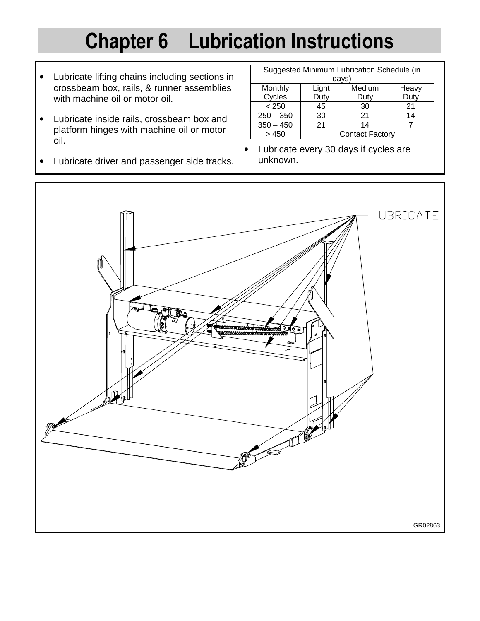# **Chapter 6 Lubrication Instructions**

- Lubricate lifting chains including sections in crossbeam box, rails, & runner assemblies with machine oil or motor oil.
- Lubricate inside rails, crossbeam box and platform hinges with machine oil or motor oil.
- Lubricate driver and passenger side tracks.

| Suggested Minimum Lubrication Schedule (in<br>days) |                        |        |       |  |
|-----------------------------------------------------|------------------------|--------|-------|--|
| Monthly                                             | Light                  | Medium | Heavy |  |
| Cycles                                              | Duty                   | Duty   | Duty  |  |
| < 250                                               | 45                     | 30     | 21    |  |
| $250 - 350$                                         | 30                     | 21     | 14    |  |
| $350 - 450$                                         | 21                     | 14     |       |  |
| >450                                                | <b>Contact Factory</b> |        |       |  |

• Lubricate every 30 days if cycles are unknown.

![](_page_15_Picture_6.jpeg)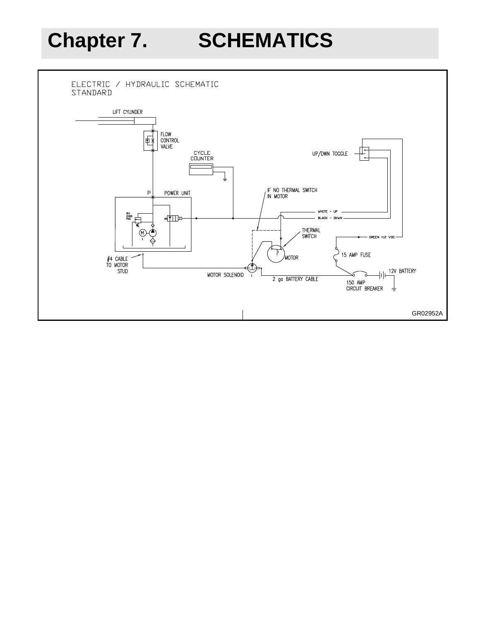**Chapter 7. SCHEMATICS** 

![](_page_16_Figure_2.jpeg)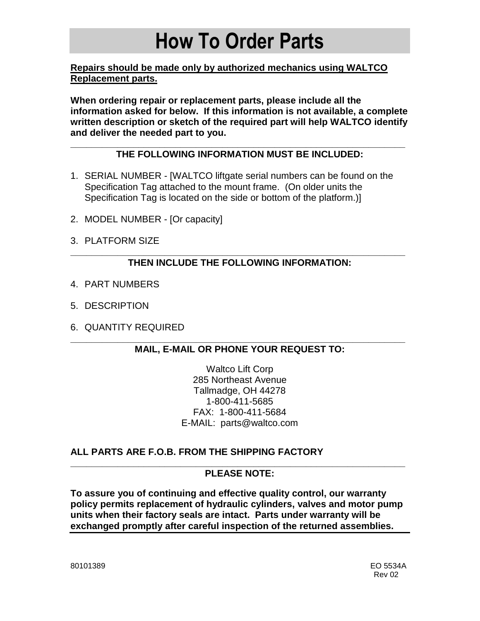# **How To Order Parts**

**Repairs should be made only by authorized mechanics using WALTCO Replacement parts.** 

**When ordering repair or replacement parts, please include all the information asked for below. If this information is not available, a complete written description or sketch of the required part will help WALTCO identify and deliver the needed part to you.** 

### **\_\_\_\_\_\_\_\_\_\_\_\_\_\_\_\_\_\_\_\_\_\_\_\_\_\_\_\_\_\_\_\_\_\_\_\_\_\_\_\_\_\_\_\_\_\_\_\_\_\_\_\_\_\_\_\_\_\_\_\_\_\_\_\_ THE FOLLOWING INFORMATION MUST BE INCLUDED:**

- 1. SERIAL NUMBER [WALTCO liftgate serial numbers can be found on the Specification Tag attached to the mount frame. (On older units the Specification Tag is located on the side or bottom of the platform.)]
- 2. MODEL NUMBER [Or capacity]
- 3. PLATFORM SIZE

### **\_\_\_\_\_\_\_\_\_\_\_\_\_\_\_\_\_\_\_\_\_\_\_\_\_\_\_\_\_\_\_\_\_\_\_\_\_\_\_\_\_\_\_\_\_\_\_\_\_\_\_\_\_\_\_\_\_\_\_\_\_\_\_\_ THEN INCLUDE THE FOLLOWING INFORMATION:**

- 4. PART NUMBERS
- 5. DESCRIPTION
- 6. QUANTITY REQUIRED

### **\_\_\_\_\_\_\_\_\_\_\_\_\_\_\_\_\_\_\_\_\_\_\_\_\_\_\_\_\_\_\_\_\_\_\_\_\_\_\_\_\_\_\_\_\_\_\_\_\_\_\_\_\_\_\_\_\_\_\_\_\_\_\_\_ MAIL, E-MAIL OR PHONE YOUR REQUEST TO:**

Waltco Lift Corp 285 Northeast Avenue Tallmadge, OH 44278 1-800-411-5685 FAX: 1-800-411-5684 E-MAIL: parts@waltco.com

## **ALL PARTS ARE F.O.B. FROM THE SHIPPING FACTORY**

#### **\_\_\_\_\_\_\_\_\_\_\_\_\_\_\_\_\_\_\_\_\_\_\_\_\_\_\_\_\_\_\_\_\_\_\_\_\_\_\_\_\_\_\_\_\_\_\_\_\_\_\_\_\_\_\_\_\_\_\_\_\_\_\_\_ PLEASE NOTE:**

**To assure you of continuing and effective quality control, our warranty policy permits replacement of hydraulic cylinders, valves and motor pump units when their factory seals are intact. Parts under warranty will be exchanged promptly after careful inspection of the returned assemblies.**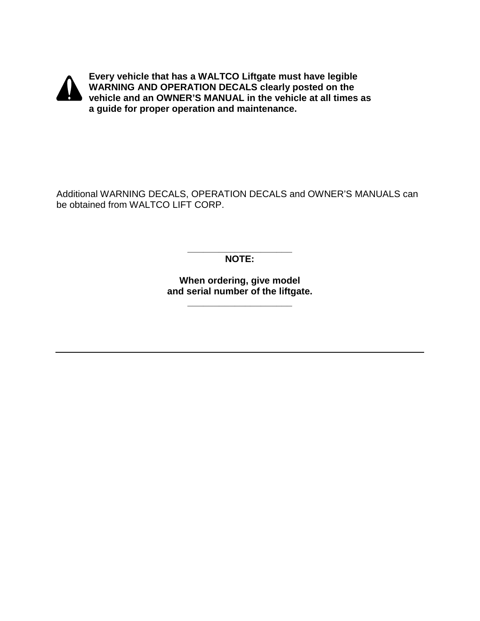![](_page_18_Picture_0.jpeg)

**Every vehicle that has a WALTCO Liftgate must have legible WARNING AND OPERATION DECALS clearly posted on the vehicle and an OWNER'S MANUAL in the vehicle at all times as a guide for proper operation and maintenance.** 

Additional WARNING DECALS, OPERATION DECALS and OWNER'S MANUALS can be obtained from WALTCO LIFT CORP.

> **\_\_\_\_\_\_\_\_\_\_\_\_\_\_\_\_\_\_\_\_ NOTE:**

**When ordering, give model and serial number of the liftgate.** 

**\_\_\_\_\_\_\_\_\_\_\_\_\_\_\_\_\_\_\_\_**